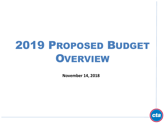## 2019 PROPOSED BUDGET **OVERVIEW**

**November 14, 2018**

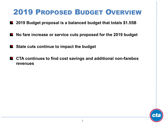### 2019 PROPOSED BUDGET OVERVIEW

- **2019 Budget proposal is a balanced budget that totals \$1.55B**  $\bigodot$
- **No fare increase or service cuts proposed for the 2019 budget**   $\bigcirc$
- **State cuts continue to impact the budget**
- **CTA continues to find cost savings and additional non-farebox revenues**

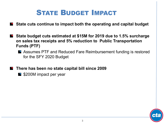### STATE BUDGET IMPACT

- **State cuts continue to impact both the operating and capital budget**
- **State budget cuts estimated at \$15M for 2019 due to 1.5% surcharge on sales tax receipts and 5% reduction to Public Transportation Funds (PTF)**
	- Assumes PTF and Reduced Fare Reimbursement funding is restored for the SFY 2020 Budget
- **There has been no state capital bill since 2009** 
	- **S** \$200M impact per year

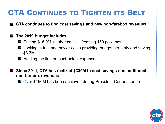### CTA CONTINUES TO TIGHTEN ITS BELT

**CTA continues to find cost savings and new non-farebox revenues** 

#### **The 2019 budget includes**

- $\blacksquare$  Cutting \$18.0M in labor costs freezing 150 positions
- Locking in fuel and power costs providing budget certainty and saving \$3.3M
- $\blacksquare$  Holding the line on contractual expenses
- **Since 2011, CTA has realized \$330M in cost savings and additional non-farebox revenues**
	- Over \$150M has been achieved during President Carter's tenure

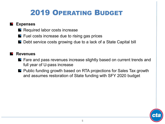### 2019 OPERATING BUDGET

#### **Expenses**

- **Required labor costs increase**
- $\blacksquare$  Fuel costs increase due to rising gas prices
- Debt service costs growing due to a lack of a State Capital bill

#### **Revenues**

- **P** Fare and pass revenues increase slightly based on current trends and full year of U-pass increase
- **P** Public funding growth based on RTA projections for Sales Tax growth and assumes restoration of State funding with SFY 2020 budget

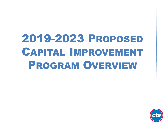# 2019-2023 PROPOSED CAPITAL IMPROVEMENT PROGRAM OVERVIEW